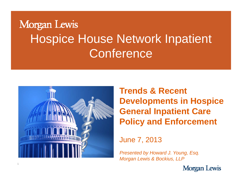## Morgan Lewis Hospice House Network Inpatient **Conference**



**Trends & Recent Developments in Hospice General Inpatient Care Policy and Enforcement**

June 7, 2013

*Presented by Howard J Young Esq J. Young, Esq. Morgan Lewis & Bockius, LLP*

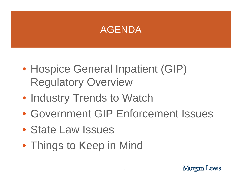## AGENDA

- Hospice General Inpatient (GIP) Regulatory Overview
- Industry Trends to Watch
- Government GIP Enforcement Issues
- State Law Issues
- Things to Keep in Mind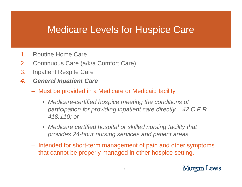## Medicare Levels for Hos pice Care

- 1.Routine Home Care
- 2.Continuous Care (a/k/a Comfort Care)
- 3. Inpatient Respite Care
- *4. General Inpatient Care*
	- Must be provided in a Medicare or Medicaid facility
		- Medicare-certified hospice meeting the conditions of *participation for providing inpatient care directly – 42 C.F.R. 418.110; or*
		- *Medicare certified hospital or skilled nursing facility that provides 24-hour nursing services and patient areas.*
	- Intended for short-term management of pain and other symptoms that cannot be properly managed in other hospice setting.

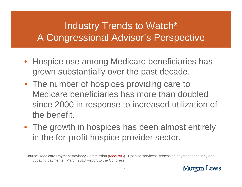## Industry Trends to Watch\* A Congressional Advisor's Perspective

- Hospice use among Medicare beneficiaries has grown substantially over the past decade.
- The number of hospices providing care to Medicare beneficiaries has more than doubled since 2000 in response to increased utilization of the benefit.
- The growth in hospices has been almost entirely in the for-profit hospice provider sector.

<sup>\*</sup>Source: Medicare Payment Advisory Commission (MedPAC). Hospice services: Assessing payment adequacy and updating payments. March 2013 Report to the Congress.

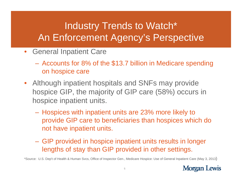## Industry Trends to Watch\* An Enforcement Agency's Perspective

- General Inpatient Care
	- Accounts for 8% of the \$13.7 billion in Medicare spending on hospice care
- Although inpatient hospitals and SNFs may provide hospice GIP, the majority of GIP care (58%) occurs in hospice inpatient units.
	- Hospices with inpatient units are 23% more likely to provide GIP care to beneficiaries than hospices which do not have inpatient units.
	- GIP provided in hospice inpatient units results in longer lengths of stay than GIP provided in other settings.

\*Source: U.S. Dep't of Health & Human Svcs, Office of Inspector Gen., Medicare Hospice: Use of General Inpatient Care (May 3, 2013)

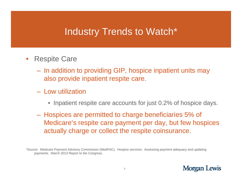## Industry Trends to Watch \*e Care<br>e Care

- • Respite Care
	- In addition to providing GIP, hospice inpatient units may also provide inpatient respite care.
	- Low utilization
		- $\bullet\,$  Inpatient respite care accounts for just 0.2% of hospice days.
	- Hospices are permitted to charge beneficiaries 5% of Medicare's respite care payment per day, but few hospices actually charge or collect the respite coinsurance.

\*Source: Medicare Payment Advisory Commission (MedPAC). Hospice services: Assessing payment adequacy and updating payments. March 2013 Report to the Congress.

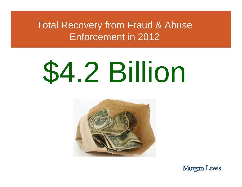Total Recovery from Fraud & Abuse Enforcement in 2012

# \$4.2 Billion



**Morgan Lewis**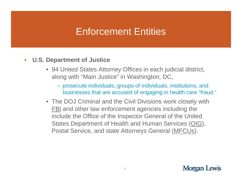## Enforcement Entities

- **U S D t t f J ti U.S. Depar tmen t o Justice**  $\bullet$ 
	- 94 United States Attorney Offices in each judicial district, along with "Main Justice" in Washington, DC,
		- prosecute individuals, groups of individuals, institutions, and businesses that are accused of engaging in health care "fraud."
	- The DOJ Criminal and the Civil Divisions work closely with FBI and other law enforcement agencies including the include the Office of the Inspector General of the United States Department of Health and Human Services (OIG), Postal Service, and state Attorneys General (<u>MFCUs</u>).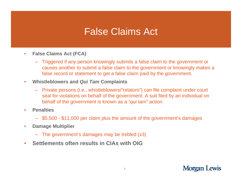## False Claims Act Claims

- $\bullet$  **False Claims Act (FCA)**
	- Triggered if any person knowingly submits a false claim to the government or causes another to submit a false claim to the government or knowingly makes a false record or statement to get a false claim paid by the government.
- $\bullet$  **Whistleblowers and** *Qui Tam Tam***Complaints**
	- Private persons (i.e., whistleblowers/"relators") can file complaint under court seal for violations on behalf of the government. A suit filed by an individual on behalf of the government is known as a "*qui tam"* action.
- • **Penalties**
	- \$5,500 \$11,000 per claim plus the amount of the government's damages
- • **Damag p e Multiplier**
	- The government's damages may be trebled (x3)
- •**Settlements often results in CIAs with OIG**

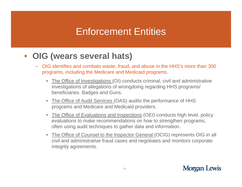## Enforcement Entities

- $\bullet$  **OIG (wears several hats)**
	- OIG identifies and combats waste, fraud, and abuse in the HHS's more than 300 programs, including the Medicare and Medicaid programs.
		- The Office of Investigations (OI) conducts criminal, civil and administrative investigations of allegations of wrongdoing regarding HHS programs/ beneficiaries. Badges and Guns.
		- The Office of Audit Services (OAS) audits the performance of HHS programs and Medicare and Medicaid providers.
		- The Office of Evaluations and Inspections (OEI) conducts high level, policy evaluations to make recommendations on how to strengthen programs, often using audit techniques to gather data and information.
		- The Office of Counsel to the Inspector General (OCIG) represents OIG in all civil and administrative fraud cases and negotiates and monitors corporate integrity agreements.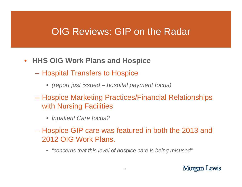### OIG Reviews: GIP on the Radar

- **HHS OIG W k Pl d H i Work Plans and Hospice** 
	- Hospital Transfers to Hospice
		- *(report just issued – hospital payment focus)*
	- Hospice Marketing Practices/Financial Relationships with Nursing Facilities
		- *Inpatient Care focus?*
	- Hospice GIP care was featured in both the 2013 and 2012 OIG Work Plans.
		- "concerns that this level of hospice care is being misused"

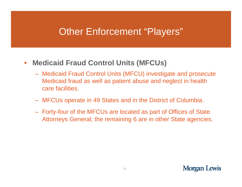## Other Enforcement "Players"

#### $\bullet$ **Medicaid Fraud Control Units (MFCUs)**

- Medicaid Fraud Control Units (MFCU) investigate and prosecute Medicaid fraud as well as patient abuse and neglect in health care facilities.
- MFCUs operate in 49 States and in the District of Columbia.
- Forty-four of the MFCUs are located as part of Offices of State Attorneys General; the remaining 6 are in other State agencies.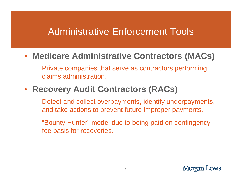## Administrative Enforcement Tools

# • **Medicare Administrative Contractors (MACs )**

- Private companies that serve as contractors performing claims administration.

### • **Recovery Audit Contractors (RACs)**

- Detect and collect overpayments, identify underpayments, and take actions to prevent future improper payments.
- "Bounty Hunter" model due to being paid on contingency fee basis for recoveries.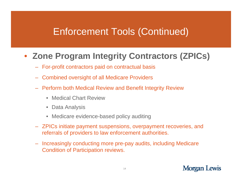## Enforcement Tools (Continued)

# • **Zone Program Integrity Contractors (ZPICs )**

- For-profit contractors paid on contractual basis
- Combined oversight of all Medicare Providers
- Perform both Medical Review and Benefit Integrity Review
	- Medical Chart Review
	- $\bullet$ • Data Analysis
	- Medicare evidence-based policy auditing
- ZPICs initiate payment suspensions, overpayment recoveries, and referrals of providers to law enforcement authorities.
- Increasingly conducting more pre-pay audits, including Medicare Condition of Partici pation reviews.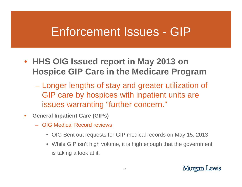#### Enforcement Issues GIP

- **HHS OIG Issued report in May 2013 on Hospice GIP Care in the Medicare Program**
	- Longer lengths of stay and greater utilization of GIP care by hospices with inpatient units are issues warranting "further concern."
- • **General Inpatient Care (GIPs)**
	- OIG Medical Record reviews
		- OIG Sent out requests for GIP medical records on May 15, 2013
		- While GIP isn't high volume, it is high enough that the government is taking a look at it.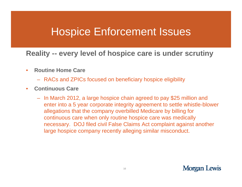## Hospice Enforcement Issues

#### **Reality -- every level of hospice care is under scrutiny**

- $\bullet$  **Routine Home Care**
	- RACs and ZPICs focused on beneficiary hospice eligibility
- $\bullet$  **Continuous Care**
	- In March 2012, a large hospice chain agreed to pay \$25 million and enter into a 5 year corporate integrity agreement to settle whistle-blower allegations that the company overbilled Medicare by billing for continuous care when only routine hospice care was medically necessary. DOJ filed civil False Claims Act complaint against another large hospice company recently alleging similar misconduct.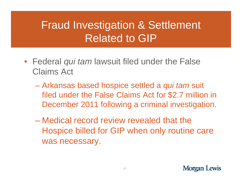## Fraud Investigation & Settlement **Related to GIP**

- Federal *qui tam* lawsuit filed under the False Claims Act
	- Arkansas based hospice settled a *qui tam* suit filed under the False Claims Act for \$2.7 million in December 2011 following a criminal investigation.
	- Medical record review revealed that the Hospice billed for GIP when only routine care was necessary.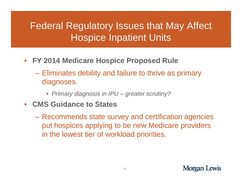## Federal Regulatory Issues that May Affect Hospice Inpatient Units

- **FY 2014 Medicare Hospice Proposed Rule** 
	- Eliminates debility and failure to thrive as primary diagnoses.
		- *Primary diagnosis in IPU – greater scrutiny?*
- $\bullet$  **CMS Guidance to States**
	- – Recommends state survey and certification agencies put hospices applying to be new Medicare providers in the lowest tier of workload priorities.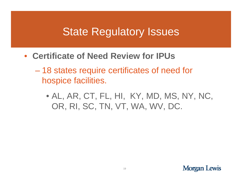## State Regulatory Issues

- **Certificate of Need Review for IPUs**
	- 18 states require certificates of need for hospice facilities.
		- AL, AR, CT, FL, HI, KY, MD, MS, NY, NC, OR, RI, SC, TN, VT, WA, WV, DC.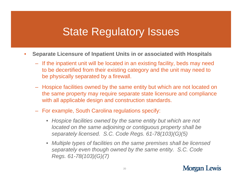## State Regulatory Issues

- $\bullet$  **Separate Licensure of Inpatient Units in or associated with Hospitals**
	- If the inpatient unit will be located in an existing facility, beds may need to be decertified from their existing category and the unit may need to be physically separated by a firewall.
	- Hospice facilities owned by the same entity but which are not located on the same property may require separate state licensure and compliance with all applicable design and construction standards.
	- For example, South Carolina regulations specify:
		- *Hospice facilities owned by the same entity but which are not located on the same adjoining or contiguous property shall be be separately licensed. S.C. Code Regs. 61-78(103)(G)(5)*
		- *Multiple types of facilities on the same premises shall be licensed separately even though owned by the same entity. S.C. Code Regs. 61-78(103)(G)(7)*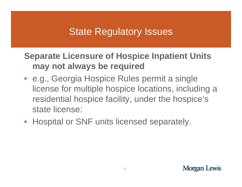## State Regulatory Issues

# **Separate Licensure of Hospice Inpatient Units Licensure may not always be required**

- e.g., Georgia Hospice Rules permit a single license for multiple hospice locations, including a residential hospice facility, under the hospice's state license:
- Hospital or SNF units licensed separately.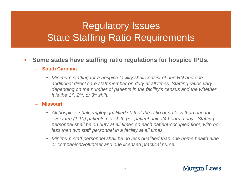## Regulatory Issues State Staffing Ratio Requirements

#### • Some states have staffing ratio regulations for hospice IPUs.  $\bullet$

#### – **South Carolina**

• *Minimum staffing for a hospice facility shall consist of one RN and one additional direct care staff member on duty at all times. Staffing ratios vary depending on the number of patients in the facility's census and the whether it is the 1st, 2nd, or 3rd shift.*

#### **Missouri**

- *All hospices shall employ qualified staff at the ratio of no less than one for every ten (1:10) patients per shift, per patient unit, 24 hours a day. Staffing personnel shall be on duty at all times on each patient-occupied floor, with no*  less than two staff personnel in a facility at all times.
- $\bullet$  *Minimum staff personnel shall be no less qualified than one home health aide or companion/volunteer and one licensed practical nurse.*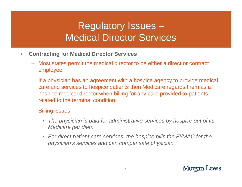## Regulatory Issues – Medical Director Services

- $\bullet$  **Contracting for Medical Director Services**
	- Most states permit the medical director to be either a direct or contract employee.
	- $-$  If a physician has an agreement with a hospice agency to provide medical care and services to hospice patients then Medicare regards them as a hospice medical director when billing for any care provided to patients related to the terminal condition.
	- Billing issues
		- *The physician is paid for administrative services by hospice out of its Medicare per diem diem*
		- For direct patient care services, the hospice bills the FI/MAC for the *physician's services and can compensate physician.*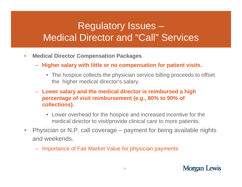## Regulatory Issues – Medical Director and "Call" Services

- $\bullet$ **• Medical Director Compensation Packages** 
	- **Higher salary with little or no compensation for patient visits.** 
		- The hospice collects the physician service billing proceeds to offset the higher medical director's salary.
	- **Lower salary and the medical director is reimbursed a high percentage of visit reimbursement (e.g., 80% to 90% of collections).** 
		- Lower overhead for the hospice and increased incentive for the medical director to visit/provide clinical care to more patients.
- •• Physician or N.P. call coverage – payment for being available nights and weekends.
	- Importance of Fair Market Value for physician payments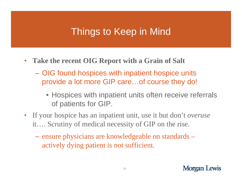## Things to Keep in Mind

- **Take the recent OIG Report with a Grain of Salt**
	- OIG found hospices with inpatient hospice units provide a lot more GIP care...of course they do!
		- Hospices with inpatient units often receive referrals of patients for GIP.
- If your hospice has an inpatient unit, use it but don't *overuse*  it…. Scrutiny of medical necessity of GIP on the rise.
	- ensure physicians are knowledgeable on standards actively dying patient is not sufficient.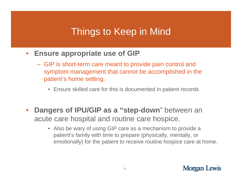## Things to Keep in Mind Mind

- $\bullet$  **Ensure appropriate use of GIP**
	- GIP is short-term care meant to provide pain control and symptom management that cannot be accomplished in the patient's home setting.
		- Ensure skilled care for this is documented in patient records
- • **Dangers of IPU/GIP as a "step-down**" between an acute care hospital and routine care hospice.
	- Also be wary of using GIP care as a mechanism to provide a patient's family with time to prepare (physically, mentally, or emotionally) for the patient to receive routine hospice care at home.